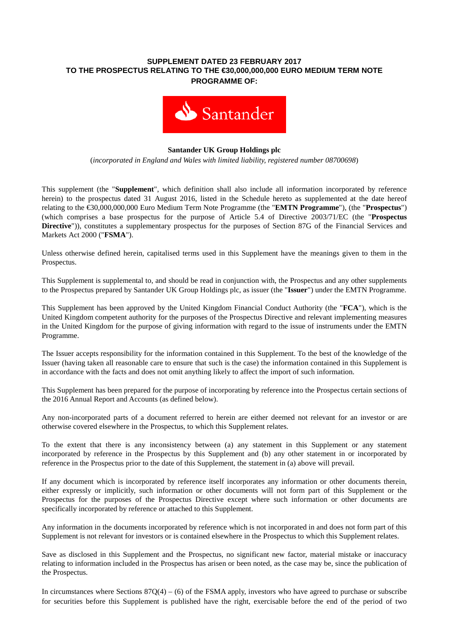## **SUPPLEMENT DATED 23 FEBRUARY 2017 TO THE PROSPECTUS RELATING TO THE €30,000,000,000 EURO MEDIUM TERM NOTE PROGRAMME OF:**



#### **Santander UK Group Holdings plc**

(*incorporated in England and Wales with limited liability, registered number 08700698*)

This supplement (the "**Supplement**", which definition shall also include all information incorporated by reference herein) to the prospectus dated 31 August 2016, listed in the Schedule hereto as supplemented at the date hereof relating to the €30,000,000,000 Euro Medium Term Note Programme (the "**EMTN Programme**"), (the "**Prospectus**") (which comprises a base prospectus for the purpose of Article 5.4 of Directive 2003/71/EC (the "**Prospectus Directive**")), constitutes a supplementary prospectus for the purposes of Section 87G of the Financial Services and Markets Act 2000 ("**FSMA**").

Unless otherwise defined herein, capitalised terms used in this Supplement have the meanings given to them in the Prospectus.

This Supplement is supplemental to, and should be read in conjunction with, the Prospectus and any other supplements to the Prospectus prepared by Santander UK Group Holdings plc, as issuer (the "**Issuer**") under the EMTN Programme.

This Supplement has been approved by the United Kingdom Financial Conduct Authority (the "**FCA**"), which is the United Kingdom competent authority for the purposes of the Prospectus Directive and relevant implementing measures in the United Kingdom for the purpose of giving information with regard to the issue of instruments under the EMTN Programme.

The Issuer accepts responsibility for the information contained in this Supplement. To the best of the knowledge of the Issuer (having taken all reasonable care to ensure that such is the case) the information contained in this Supplement is in accordance with the facts and does not omit anything likely to affect the import of such information.

This Supplement has been prepared for the purpose of incorporating by reference into the Prospectus certain sections of the 2016 Annual Report and Accounts (as defined below).

Any non-incorporated parts of a document referred to herein are either deemed not relevant for an investor or are otherwise covered elsewhere in the Prospectus, to which this Supplement relates.

To the extent that there is any inconsistency between (a) any statement in this Supplement or any statement incorporated by reference in the Prospectus by this Supplement and (b) any other statement in or incorporated by reference in the Prospectus prior to the date of this Supplement, the statement in (a) above will prevail.

If any document which is incorporated by reference itself incorporates any information or other documents therein, either expressly or implicitly, such information or other documents will not form part of this Supplement or the Prospectus for the purposes of the Prospectus Directive except where such information or other documents are specifically incorporated by reference or attached to this Supplement.

Any information in the documents incorporated by reference which is not incorporated in and does not form part of this Supplement is not relevant for investors or is contained elsewhere in the Prospectus to which this Supplement relates.

Save as disclosed in this Supplement and the Prospectus, no significant new factor, material mistake or inaccuracy relating to information included in the Prospectus has arisen or been noted, as the case may be, since the publication of the Prospectus.

In circumstances where Sections  $87Q(4) - (6)$  of the FSMA apply, investors who have agreed to purchase or subscribe for securities before this Supplement is published have the right, exercisable before the end of the period of two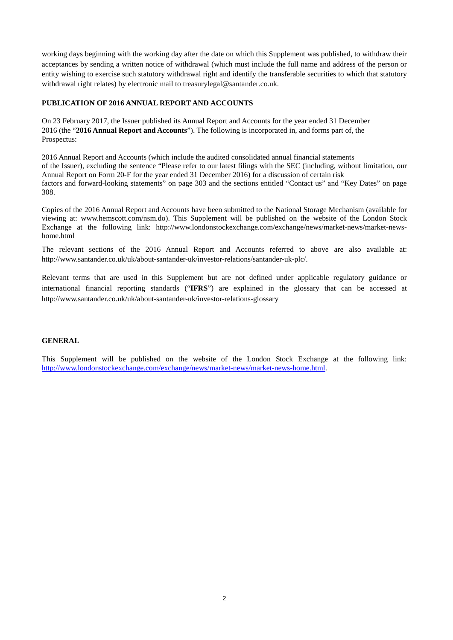working days beginning with the working day after the date on which this Supplement was published, to withdraw their acceptances by sending a written notice of withdrawal (which must include the full name and address of the person or entity wishing to exercise such statutory withdrawal right and identify the transferable securities to which that statutory withdrawal right relates) by electronic mail to treasurylegal@santander.co.uk.

## **PUBLICATION OF 2016 ANNUAL REPORT AND ACCOUNTS**

On 23 February 2017, the Issuer published its Annual Report and Accounts for the year ended 31 December 2016 (the "**2016 Annual Report and Accounts**"). The following is incorporated in, and forms part of, the Prospectus:

2016 Annual Report and Accounts (which include the audited consolidated annual financial statements of the Issuer), excluding the sentence "Please refer to our latest filings with the SEC (including, without limitation, our Annual Report on Form 20-F for the year ended 31 December 2016) for a discussion of certain risk factors and forward-looking statements" on page 303 and the sections entitled "Contact us" and "Key Dates" on page 308.

Copies of the 2016 Annual Report and Accounts have been submitted to the National Storage Mechanism (available for viewing at: www.hemscott.com/nsm.do). This Supplement will be published on the website of the London Stock Exchange at the following link: http://www.londonstockexchange.com/exchange/news/market-news/market-newshome.html

The relevant sections of the 2016 Annual Report and Accounts referred to above are also available at: http://www.santander.co.uk/uk/about-santander-uk/investor-relations/santander-uk-plc/.

Relevant terms that are used in this Supplement but are not defined under applicable regulatory guidance or international financial reporting standards ("**IFRS**") are explained in the glossary that can be accessed at http://www.santander.co.uk/uk/about-santander-uk/investor-relations-glossary

#### **GENERAL**

This Supplement will be published on the website of the London Stock Exchange at the following link: [http://www.londonstockexchange.com/exchange/news/market-news/market-news-home.html.](http://www.londonstockexchange.com/exchange/news/market-news/market-news-home.html)